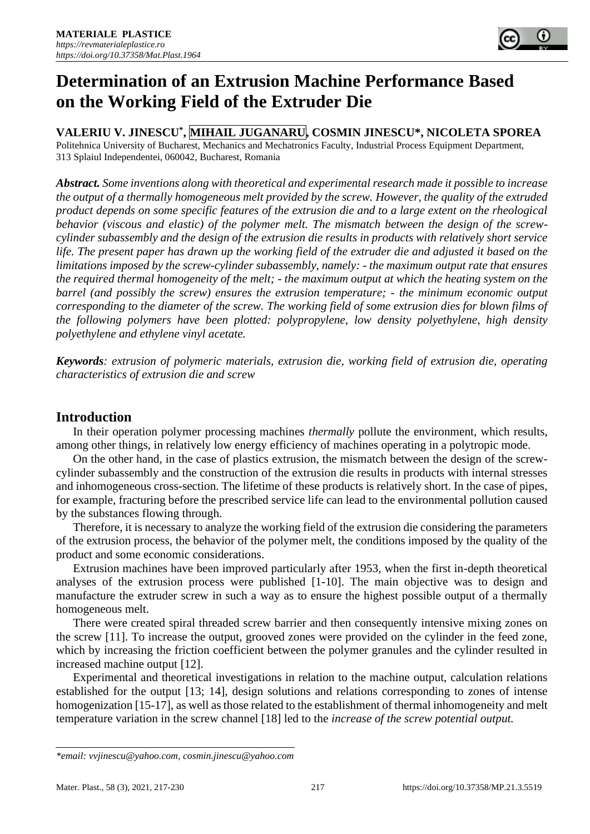# **Determination of an Extrusion Machine Performance Based on the Working Field of the Extruder Die**

**VALERIU V. JINESCU\* , MIHAIL JUGANARU, COSMIN JINESCU\*, NICOLETA SPOREA**

Politehnica University of Bucharest, Mechanics and Mechatronics Faculty, Industrial Process Equipment Department, 313 Splaiul Independentei, 060042, Bucharest, Romania

*Abstract. Some inventions along with theoretical and experimental research made it possible to increase the output of a thermally homogeneous melt provided by the screw. However, the quality of the extruded product depends on some specific features of the extrusion die and to a large extent on the rheological behavior (viscous and elastic) of the polymer melt. The mismatch between the design of the screwcylinder subassembly and the design of the extrusion die results in products with relatively short service life. The present paper has drawn up the working field of the extruder die and adjusted it based on the limitations imposed by the screw-cylinder subassembly, namely: - the maximum output rate that ensures the required thermal homogeneity of the melt; - the maximum output at which the heating system on the barrel (and possibly the screw) ensures the extrusion temperature; - the minimum economic output corresponding to the diameter of the screw. The working field of some extrusion dies for blown films of the following polymers have been plotted: polypropylene, low density polyethylene, high density polyethylene and ethylene vinyl acetate.*

*Keywords: extrusion of polymeric materials, extrusion die, working field of extrusion die, operating characteristics of extrusion die and screw*

# **Introduction**

In their operation polymer processing machines *thermally* pollute the environment, which results, among other things, in relatively low energy efficiency of machines operating in a polytropic mode.

On the other hand, in the case of plastics extrusion, the mismatch between the design of the screwcylinder subassembly and the construction of the extrusion die results in products with internal stresses and inhomogeneous cross-section. The lifetime of these products is relatively short. In the case of pipes, for example, fracturing before the prescribed service life can lead to the environmental pollution caused by the substances flowing through.

Therefore, it is necessary to analyze the working field of the extrusion die considering the parameters of the extrusion process, the behavior of the polymer melt, the conditions imposed by the quality of the product and some economic considerations.

Extrusion machines have been improved particularly after 1953, when the first in-depth theoretical analyses of the extrusion process were published [1-10]. The main objective was to design and manufacture the extruder screw in such a way as to ensure the highest possible output of a thermally homogeneous melt.

There were created spiral threaded screw barrier and then consequently intensive mixing zones on the screw [11]. To increase the output, grooved zones were provided on the cylinder in the feed zone, which by increasing the friction coefficient between the polymer granules and the cylinder resulted in increased machine output [12].

Experimental and theoretical investigations in relation to the machine output, calculation relations established for the output [13; 14], design solutions and relations corresponding to zones of intense homogenization [15-17], as well as those related to the establishment of thermal inhomogeneity and melt temperature variation in the screw channel [18] led to the *increase of the screw potential output.*

*<sup>\*</sup>email[: vvjinescu@yahoo.com,](mailto:vvjinescu@yahoo.com) cosmin.jinescu@yahoo.com*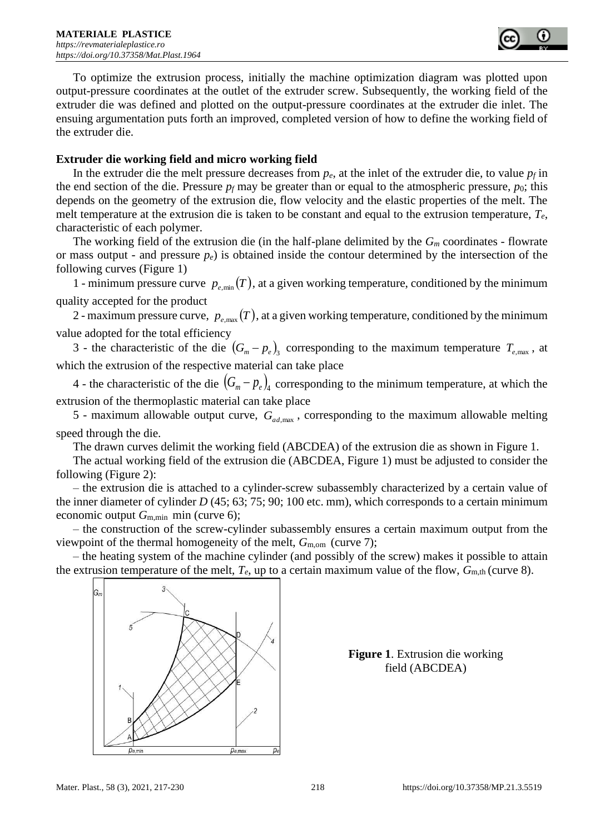

To optimize the extrusion process, initially the machine optimization diagram was plotted upon output-pressure coordinates at the outlet of the extruder screw. Subsequently, the working field of the extruder die was defined and plotted on the output-pressure coordinates at the extruder die inlet. The ensuing argumentation puts forth an improved, completed version of how to define the working field of the extruder die.

# **Extruder die working field and micro working field**

In the extruder die the melt pressure decreases from  $p_e$ , at the inlet of the extruder die, to value  $p_f$  in the end section of the die. Pressure  $p_f$  may be greater than or equal to the atmospheric pressure,  $p_0$ ; this depends on the geometry of the extrusion die, flow velocity and the elastic properties of the melt. The melt temperature at the extrusion die is taken to be constant and equal to the extrusion temperature, *Te*, characteristic of each polymer.

The working field of the extrusion die (in the half-plane delimited by the *G<sup>m</sup>* coordinates - flowrate or mass output - and pressure *pe*) is obtained inside the contour determined by the intersection of the following curves (Figure 1)

1 - minimum pressure curve  $p_{e,\text{min}}(T)$ , at a given working temperature, conditioned by the minimum quality accepted for the product

2 - maximum pressure curve,  $p_{e,\text{max}}(T)$ , at a given working temperature, conditioned by the minimum value adopted for the total efficiency

3 - the characteristic of the die  $(G_m - p_e)_3$  corresponding to the maximum temperature  $T_{e,\text{max}}$ , at which the extrusion of the respective material can take place

4 - the characteristic of the die  $(G_m - p_e)_4$  corresponding to the minimum temperature, at which the extrusion of the thermoplastic material can take place

5 - maximum allowable output curve,  $G_{ad, max}$ , corresponding to the maximum allowable melting speed through the die.

The drawn curves delimit the working field (ABCDEA) of the extrusion die as shown in Figure 1.

The actual working field of the extrusion die (ABCDEA, Figure 1) must be adjusted to consider the following (Figure 2):

– the extrusion die is attached to a cylinder-screw subassembly characterized by a certain value of the inner diameter of cylinder *D* (45; 63; 75; 90; 100 etc. mm), which corresponds to a certain minimum economic output  $G_{m,min}$  min (curve 6);

– the construction of the screw-cylinder subassembly ensures a certain maximum output from the viewpoint of the thermal homogeneity of the melt, *G*m,om (curve 7);

– the heating system of the machine cylinder (and possibly of the screw) makes it possible to attain the extrusion temperature of the melt,  $T_e$ , up to a certain maximum value of the flow,  $G_{m,th}$  (curve 8).



**Figure 1**. Extrusion die working field (ABCDEA)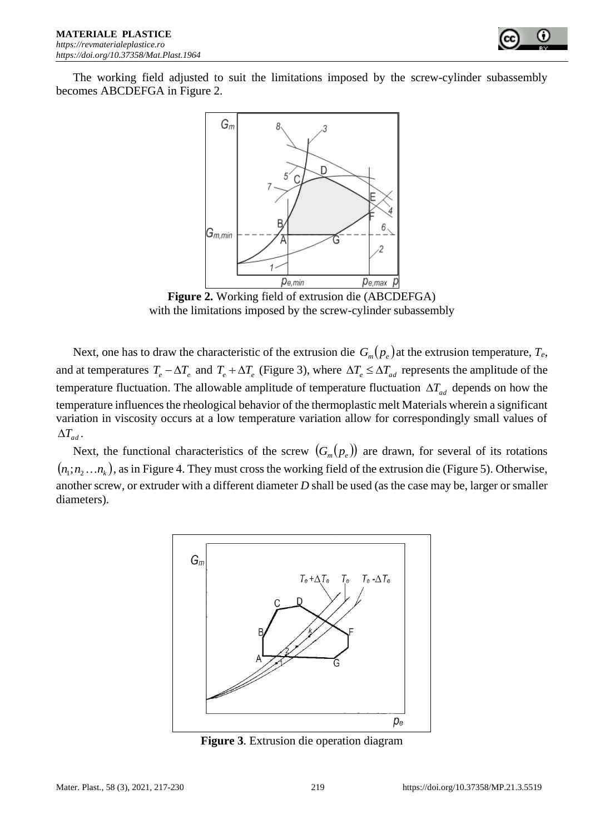

The working field adjusted to suit the limitations imposed by the screw-cylinder subassembly becomes ABCDEFGA in Figure 2.



**Figure 2.** Working field of extrusion die (ABCDEFGA) with the limitations imposed by the screw-cylinder subassembly

Next, one has to draw the characteristic of the extrusion die  $G_m(p_e)$  at the extrusion temperature,  $T_e$ , and at temperatures  $T_e - \Delta T_e$  and  $T_e + \Delta T_e$  (Figure 3), where  $\Delta T_e \leq \Delta T_{ad}$  represents the amplitude of the temperature fluctuation. The allowable amplitude of temperature fluctuation  $\Delta T_{ad}$  depends on how the temperature influences the rheological behavior of the thermoplastic melt Materials wherein a significant variation in viscosity occurs at a low temperature variation allow for correspondingly small values of  $\Delta T_{ad}$ .

Next, the functional characteristics of the screw  $(G_m(p_e))$  are drawn, for several of its rotations  $(n_1; n_2...n_k)$ , as in Figure 4. They must cross the working field of the extrusion die (Figure 5). Otherwise, another screw, or extruder with a different diameter *D* shall be used (as the case may be, larger or smaller diameters).



**Figure 3**. Extrusion die operation diagram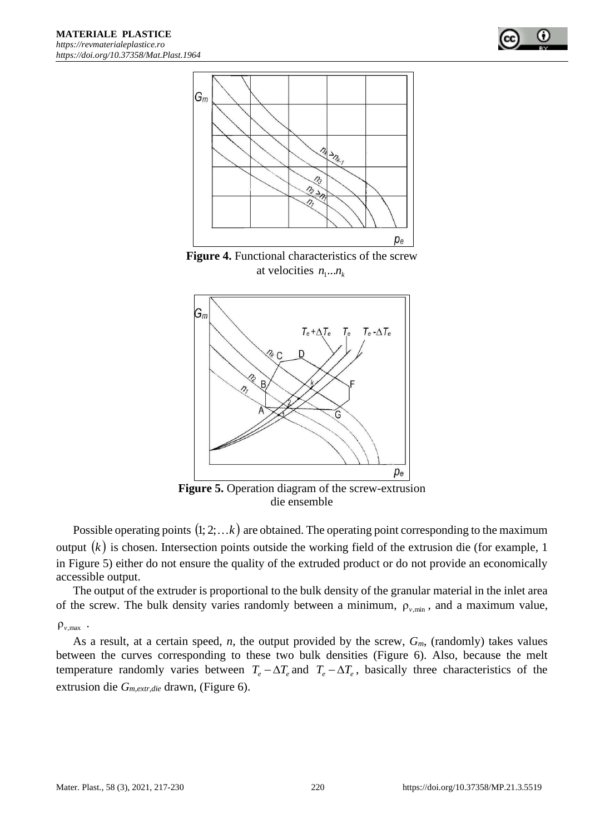

**Figure 4.** Functional characteristics of the screw at velocities  $n_1...n_k$ 



**Figure 5.** Operation diagram of the screw-extrusion die ensemble

Possible operating points  $(1; 2; ... k)$  are obtained. The operating point corresponding to the maximum output  $(k)$  is chosen. Intersection points outside the working field of the extrusion die (for example, 1) in Figure 5) either do not ensure the quality of the extruded product or do not provide an economically accessible output.

The output of the extruder is proportional to the bulk density of the granular material in the inlet area of the screw. The bulk density varies randomly between a minimum,  $\rho_{v,\text{min}}$ , and a maximum value,

# ρ*v*,max .

As a result, at a certain speed, *n*, the output provided by the screw, *Gm*, (randomly) takes values between the curves corresponding to these two bulk densities (Figure 6). Also, because the melt temperature randomly varies between  $T_e - \Delta T_e$  and  $T_e - \Delta T_e$ , basically three characteristics of the extrusion die *Gm,extr,die* drawn, (Figure 6).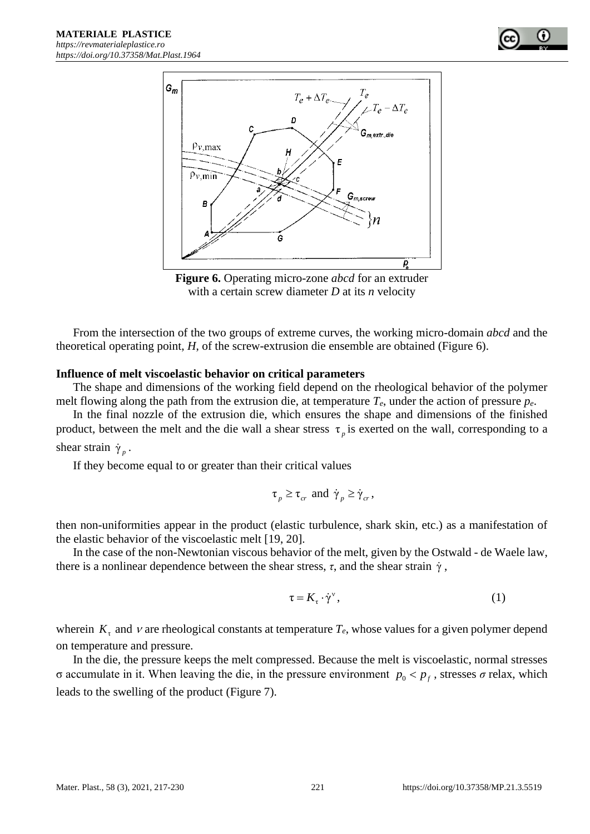

**Figure 6.** Operating micro-zone *abcd* for an extruder with a certain screw diameter *D* at its *n* velocity

From the intersection of the two groups of extreme curves, the working micro-domain *abcd* and the theoretical operating point, *H*, of the screw-extrusion die ensemble are obtained (Figure 6).

#### **Influence of melt viscoelastic behavior on critical parameters**

The shape and dimensions of the working field depend on the rheological behavior of the polymer melt flowing along the path from the extrusion die, at temperature *Te*, under the action of pressure *pe*.

In the final nozzle of the extrusion die, which ensures the shape and dimensions of the finished product, between the melt and the die wall a shear stress  $\tau_p$  is exerted on the wall, corresponding to a shear strain  $\dot{\gamma}_p$ .

If they become equal to or greater than their critical values

$$
\tau_p \geq \tau_{cr}
$$
 and  $\dot{\gamma}_p \geq \dot{\gamma}_{cr}$ ,

then non-uniformities appear in the product (elastic turbulence, shark skin, etc.) as a manifestation of the elastic behavior of the viscoelastic melt [19, 20].

In the case of the non-Newtonian viscous behavior of the melt, given by the Ostwald - de Waele law, there is a nonlinear dependence between the shear stress,  $\tau$ , and the shear strain  $\dot{\gamma}$ ,

$$
\tau = K_{\tau} \cdot \dot{\gamma}^{\nu},\tag{1}
$$

wherein  $K<sub>z</sub>$  and  $\nu$  are rheological constants at temperature  $T<sub>e</sub>$ , whose values for a given polymer depend on temperature and pressure.

In the die, the pressure keeps the melt compressed. Because the melt is viscoelastic, normal stresses σ accumulate in it. When leaving the die, in the pressure environment  $p_0 < p_f$ , stresses *σ* relax, which leads to the swelling of the product (Figure 7).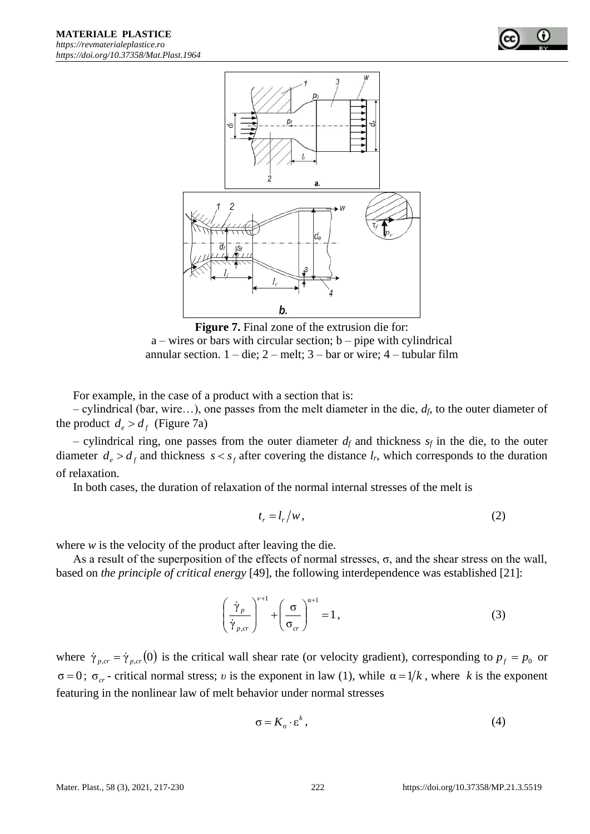

**Figure 7.** Final zone of the extrusion die for:  $a$  – wires or bars with circular section;  $b$  – pipe with cylindrical annular section.  $1 -$ die;  $2 -$ melt;  $3 -$ bar or wire;  $4 -$ tubular film

For example, in the case of a product with a section that is:

– cylindrical (bar, wire…), one passes from the melt diameter in the die, *df*, to the outer diameter of the product  $d_e > d_f$  (Figure 7a)

– cylindrical ring, one passes from the outer diameter  $d_f$  and thickness  $s_f$  in the die, to the outer diameter  $d_e > d_f$  and thickness  $s < s_f$  after covering the distance  $l_r$ , which corresponds to the duration of relaxation.

In both cases, the duration of relaxation of the normal internal stresses of the melt is

$$
t_r = l_r/w, \tag{2}
$$

where *w* is the velocity of the product after leaving the die.

As a result of the superposition of the effects of normal stresses, σ, and the shear stress on the wall, based on *the principle of critical energy* [49], the following interdependence was established [21]:

$$
\left(\frac{\dot{\gamma}_p}{\dot{\gamma}_{p,cr}}\right)^{\nu+1} + \left(\frac{\sigma}{\sigma_{cr}}\right)^{\alpha+1} = 1,
$$
\n(3)

where  $\dot{\gamma}_{p,cr} = \dot{\gamma}_{p,cr}$  (0) is the critical wall shear rate (or velocity gradient), corresponding to  $p_f = p_0$  or  $\sigma = 0$ ;  $\sigma_{cr}$  - critical normal stress; *v* is the exponent in law (1), while  $\alpha = 1/k$ , where *k* is the exponent featuring in the nonlinear law of melt behavior under normal stresses

$$
\sigma = K_{\sigma} \cdot \varepsilon^{k} , \qquad (4)
$$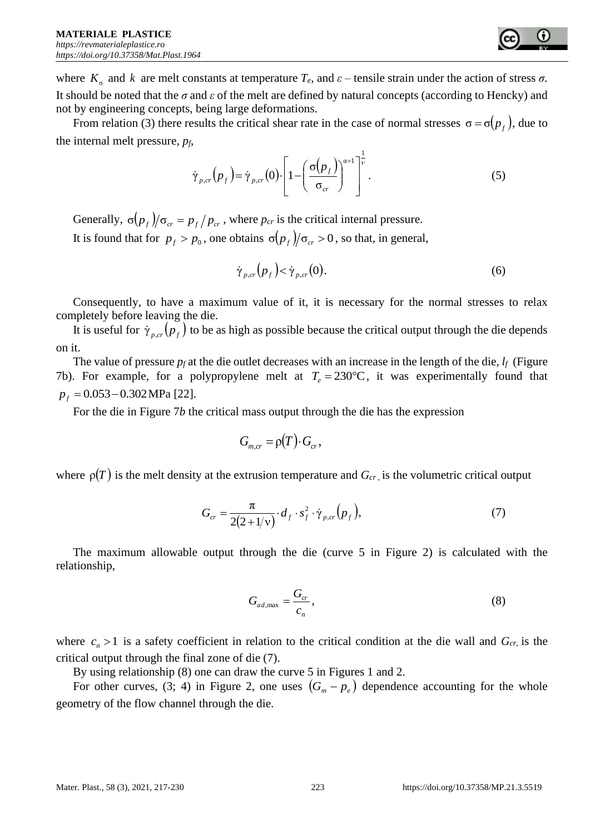where  $K_{\sigma}$  and *k* are melt constants at temperature  $T_e$ , and  $\varepsilon$  – tensile strain under the action of stress  $\sigma$ . It should be noted that the *σ* and *ε* of the melt are defined by natural concepts (according to Hencky) and not by engineering concepts, being large deformations.

From relation (3) there results the critical shear rate in the case of normal stresses  $\sigma = \sigma(p_f)$ , due to the internal melt pressure, *pf*,

$$
\dot{\gamma}_{p,cr}(p_f) = \dot{\gamma}_{p,cr}(0) \cdot \left[1 - \left(\frac{\sigma(p_f)}{\sigma_{cr}}\right)^{\alpha+1}\right]^{\frac{1}{\nu}}.\tag{5}
$$

Generally,  $\sigma(p_f)/\sigma_{cr} = p_f/p_{cr}$ , where  $p_{cr}$  is the critical internal pressure.

It is found that for  $p_f > p_0$ , one obtains  $\sigma(p_f)/\sigma_{cr} > 0$ , so that, in general,

$$
\dot{\gamma}_{p,cr}(p_f) < \dot{\gamma}_{p,cr}(0). \tag{6}
$$

Consequently, to have a maximum value of it, it is necessary for the normal stresses to relax completely before leaving the die.

It is useful for  $\dot{\gamma}_{p,cr}(p_f)$  to be as high as possible because the critical output through the die depends on it.

The value of pressure  $p_f$  at the die outlet decreases with an increase in the length of the die,  $l_f$  (Figure 7b). For example, for a polypropylene melt at  $T_e = 230$ °C, it was experimentally found that *p<sup>f</sup>* = 0.053−0.302 MPa [22].

For the die in Figure 7*b* the critical mass output through the die has the expression

$$
G_{m,cr} = \rho(T) \cdot G_{cr},
$$

where  $\rho(T)$  is the melt density at the extrusion temperature and  $G_{cr}$ , is the volumetric critical output

$$
G_{cr} = \frac{\pi}{2(2+1/\nu)} \cdot d_f \cdot s_f^2 \cdot \dot{\gamma}_{p,cr}(p_f),\tag{7}
$$

The maximum allowable output through the die (curve 5 in Figure 2) is calculated with the relationship,

$$
G_{ad,\max} = \frac{G_{cr}}{c_n},\tag{8}
$$

where  $c_n > 1$  is a safety coefficient in relation to the critical condition at the die wall and  $G_{cr}$ , is the critical output through the final zone of die (7).

By using relationship (8) one can draw the curve 5 in Figures 1 and 2.

For other curves, (3; 4) in Figure 2, one uses  $(G_m - p_e)$  dependence accounting for the whole geometry of the flow channel through the die.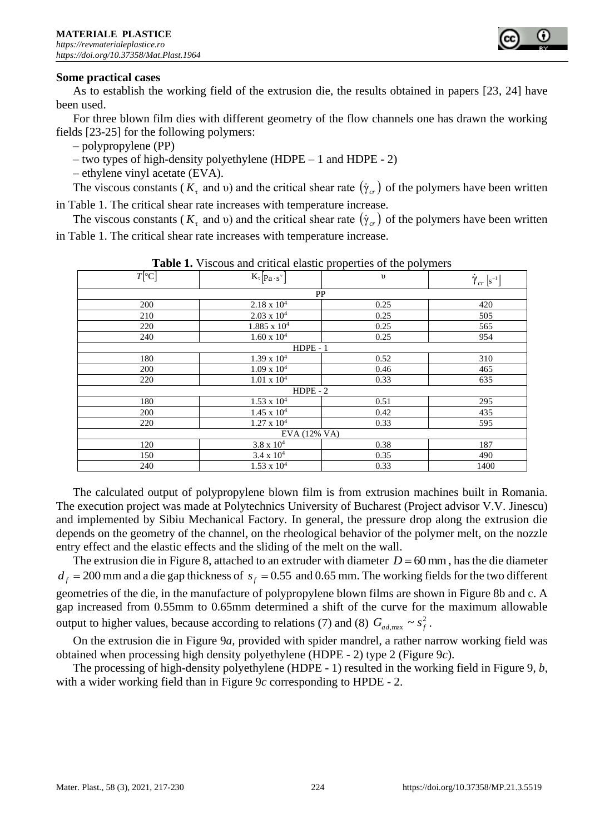

#### **Some practical cases**

As to establish the working field of the extrusion die, the results obtained in papers [23, 24] have been used.

For three blown film dies with different geometry of the flow channels one has drawn the working fields [23-25] for the following polymers:

– polypropylene (PP)

– two types of high-density polyethylene (HDPE – 1 and HDPE - 2)

– ethylene vinyl acetate (EVA).

The viscous constants ( $K_{\tau}$  and v) and the critical shear rate  $(\dot{\gamma}_{cr})$  of the polymers have been written in Table 1. The critical shear rate increases with temperature increase.

The viscous constants ( $K_{\tau}$  and v) and the critical shear rate  $(\dot{\gamma}_{cr})$  of the polymers have been written in Table 1. The critical shear rate increases with temperature increase.

| <b>Table 1.</b> Viscous and critical clastic properties of the porymers |                                   |            |                                        |
|-------------------------------------------------------------------------|-----------------------------------|------------|----------------------------------------|
| $T$ [ $\circ$ C]                                                        | $K_{\tau}$ [ $Pa \cdot s^{\nu}$ ] | $\upsilon$ | $\dot{\gamma}_{cr}\left[s^{-1}\right]$ |
|                                                                         | PP                                |            |                                        |
| 200                                                                     | $2.18 \times 10^{4}$              | 0.25       | 420                                    |
| 210                                                                     | $2.03 \times 10^{4}$              | 0.25       | 505                                    |
| 220                                                                     | $1.885 \times 10^4$               | 0.25       | 565                                    |
| 240                                                                     | $1.60 \times 10^4$                | 0.25       | 954                                    |
|                                                                         | $HDPE - 1$                        |            |                                        |
| 180                                                                     | $1.39 \times 10^{4}$              | 0.52       | 310                                    |
| 200                                                                     | $1.09 \times 10^4$                | 0.46       | 465                                    |
| 220                                                                     | $1.01 \times 10^4$                | 0.33       | 635                                    |
|                                                                         | $HDPE - 2$                        |            |                                        |
| 180                                                                     | $1.53 \times 10^{4}$              | 0.51       | 295                                    |
| 200                                                                     | $1.45 \times 10^{4}$              | 0.42       | 435                                    |
| 220                                                                     | $1.27 \times 10^4$                | 0.33       | 595                                    |
|                                                                         | EVA (12% VA)                      |            |                                        |
| 120                                                                     | $3.8 \times 10^{4}$               | 0.38       | 187                                    |
| 150                                                                     | $3.4 \times 10^{4}$               | 0.35       | 490                                    |
| 240                                                                     | $1.53 \times 10^{4}$              | 0.33       | 1400                                   |

**Table 1.** Viscous and critical elastic properties of the polymers

The calculated output of polypropylene blown film is from extrusion machines built in Romania. The execution project was made at Polytechnics University of Bucharest (Project advisor V.V. Jinescu) and implemented by Sibiu Mechanical Factory. In general, the pressure drop along the extrusion die depends on the geometry of the channel, on the rheological behavior of the polymer melt, on the nozzle entry effect and the elastic effects and the sliding of the melt on the wall.

The extrusion die in Figure 8, attached to an extruder with diameter  $D = 60$  mm, has the die diameter  $d_f$  = 200 mm and a die gap thickness of  $s_f$  = 0.55 and 0.65 mm. The working fields for the two different geometries of the die, in the manufacture of polypropylene blown films are shown in Figure 8b and c. A gap increased from 0.55mm to 0.65mm determined a shift of the curve for the maximum allowable output to higher values, because according to relations (7) and (8)  $G_{ad, \text{max}} \sim s_f^2$  $G_{ad,\text{max}} \sim s_f^2$ .

On the extrusion die in Figure 9*a,* provided with spider mandrel, a rather narrow working field was obtained when processing high density polyethylene (HDPE - 2) type 2 (Figure 9*c*).

The processing of high-density polyethylene (HDPE - 1) resulted in the working field in Figure 9, *b*, with a wider working field than in Figure 9*c* corresponding to HPDE - 2.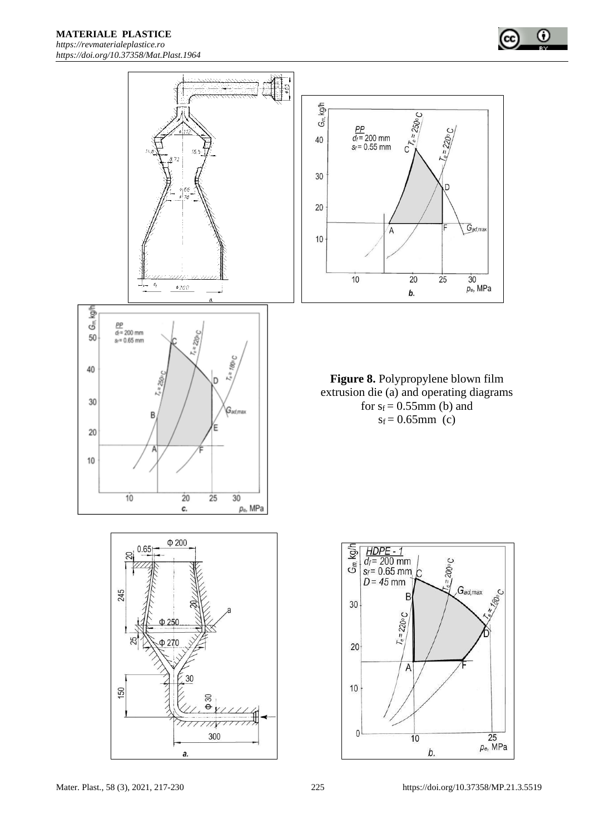





D

 $\overline{25}$ 

 $G_{ad,max}$ 

 $\overline{30}$ 

 $p_e$ , MPa

 $\bf \omega$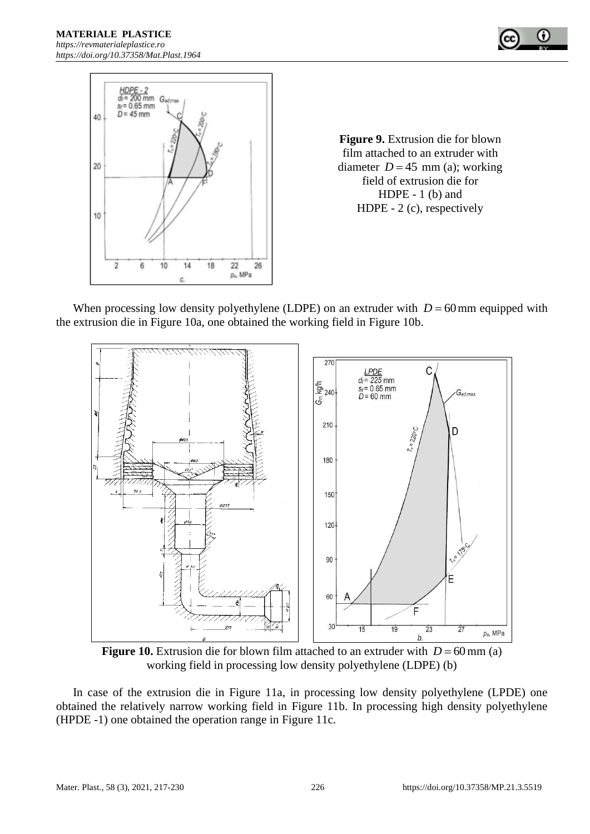



**Figure 9.** Extrusion die for blown film attached to an extruder with diameter  $D = 45$  mm (a); working field of extrusion die for HDPE - 1 (b) and HDPE - 2 (c), respectively

When processing low density polyethylene (LDPE) on an extruder with  $D = 60$  mm equipped with the extrusion die in Figure 10a, one obtained the working field in Figure 10b.



**Figure 10.** Extrusion die for blown film attached to an extruder with  $D = 60$  mm (a) working field in processing low density polyethylene (LDPE) (b)

In case of the extrusion die in Figure 11a, in processing low density polyethylene (LPDE) one obtained the relatively narrow working field in Figure 11b. In processing high density polyethylene (HPDE -1) one obtained the operation range in Figure 11c.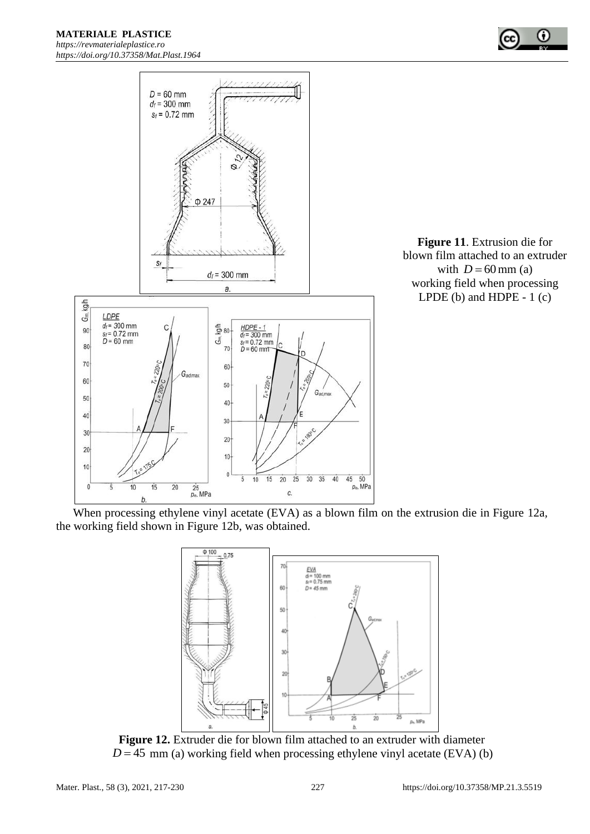$D = 60$  mm  $d_f$  = 300 mm  $s_f = 0.72$  mm







When processing ethylene vinyl acetate (EVA) as a blown film on the extrusion die in Figure 12a*,* the working field shown in Figure 12b, was obtained.



**Figure 12.** Extruder die for blown film attached to an extruder with diameter  $D = 45$  mm (a) working field when processing ethylene vinyl acetate (EVA) (b)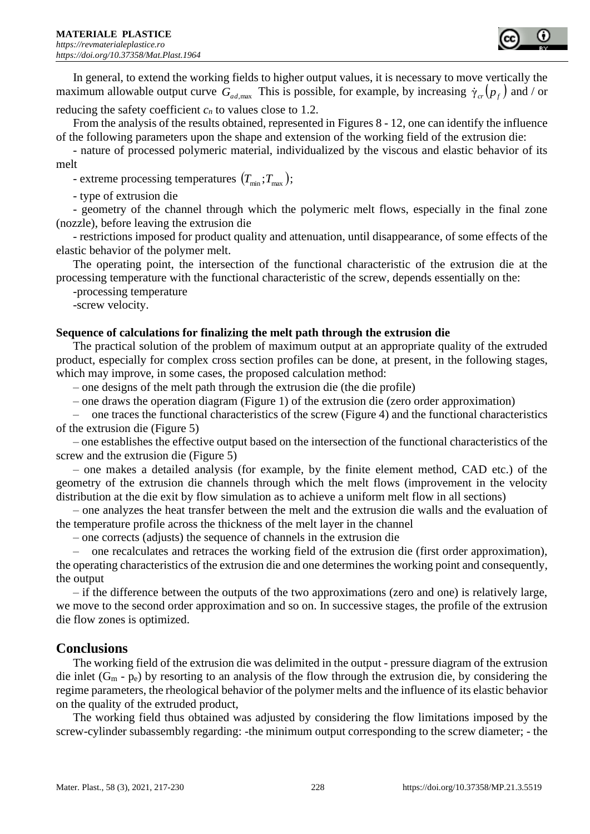

In general, to extend the working fields to higher output values, it is necessary to move vertically the maximum allowable output curve  $G_{ad, max}$  This is possible, for example, by increasing  $\dot{\gamma}_{cr}(p_f)$  and / or reducing the safety coefficient  $c_n$  to values close to 1.2.

From the analysis of the results obtained, represented in Figures 8 - 12, one can identify the influence of the following parameters upon the shape and extension of the working field of the extrusion die:

- nature of processed polymeric material, individualized by the viscous and elastic behavior of its melt

- extreme processing temperatures  $(T_{\min}; T_{\max})$ ;

- type of extrusion die

- geometry of the channel through which the polymeric melt flows, especially in the final zone (nozzle), before leaving the extrusion die

- restrictions imposed for product quality and attenuation, until disappearance, of some effects of the elastic behavior of the polymer melt.

The operating point, the intersection of the functional characteristic of the extrusion die at the processing temperature with the functional characteristic of the screw, depends essentially on the:

-processing temperature

-screw velocity.

# **Sequence of calculations for finalizing the melt path through the extrusion die**

The practical solution of the problem of maximum output at an appropriate quality of the extruded product, especially for complex cross section profiles can be done, at present, in the following stages, which may improve, in some cases, the proposed calculation method:

– one designs of the melt path through the extrusion die (the die profile)

– one draws the operation diagram (Figure 1) of the extrusion die (zero order approximation)

– one traces the functional characteristics of the screw (Figure 4) and the functional characteristics of the extrusion die (Figure 5)

– one establishes the effective output based on the intersection of the functional characteristics of the screw and the extrusion die (Figure 5)

– one makes a detailed analysis (for example, by the finite element method, CAD etc.) of the geometry of the extrusion die channels through which the melt flows (improvement in the velocity distribution at the die exit by flow simulation as to achieve a uniform melt flow in all sections)

– one analyzes the heat transfer between the melt and the extrusion die walls and the evaluation of the temperature profile across the thickness of the melt layer in the channel

– one corrects (adjusts) the sequence of channels in the extrusion die

– one recalculates and retraces the working field of the extrusion die (first order approximation), the operating characteristics of the extrusion die and one determines the working point and consequently, the output

– if the difference between the outputs of the two approximations (zero and one) is relatively large, we move to the second order approximation and so on. In successive stages, the profile of the extrusion die flow zones is optimized.

# **Conclusions**

The working field of the extrusion die was delimited in the output - pressure diagram of the extrusion die inlet  $(G_m - p_e)$  by resorting to an analysis of the flow through the extrusion die, by considering the regime parameters, the rheological behavior of the polymer melts and the influence of its elastic behavior on the quality of the extruded product,

The working field thus obtained was adjusted by considering the flow limitations imposed by the screw-cylinder subassembly regarding: -the minimum output corresponding to the screw diameter; - the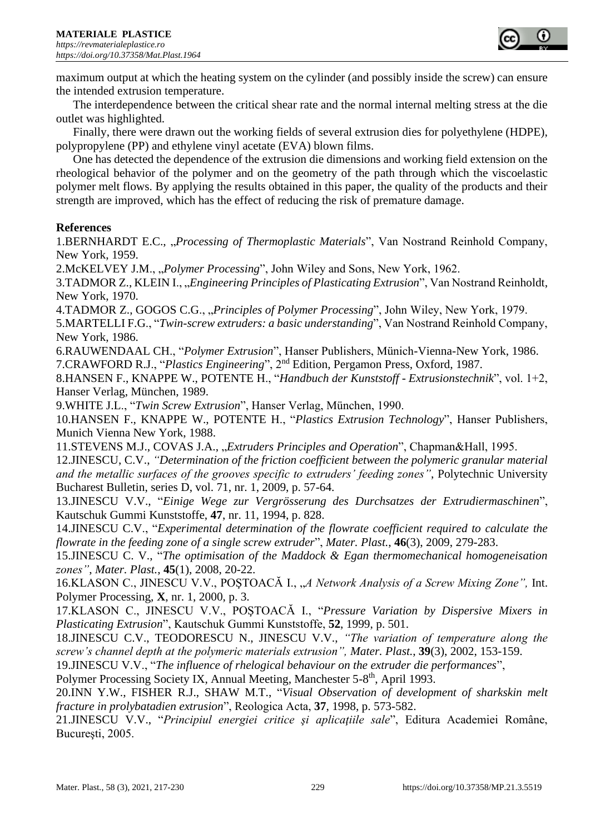

maximum output at which the heating system on the cylinder (and possibly inside the screw) can ensure the intended extrusion temperature.

The interdependence between the critical shear rate and the normal internal melting stress at the die outlet was highlighted.

Finally, there were drawn out the working fields of several extrusion dies for polyethylene (HDPE), polypropylene (PP) and ethylene vinyl acetate (EVA) blown films.

One has detected the dependence of the extrusion die dimensions and working field extension on the rheological behavior of the polymer and on the geometry of the path through which the viscoelastic polymer melt flows. By applying the results obtained in this paper, the quality of the products and their strength are improved, which has the effect of reducing the risk of premature damage.

# **References**

1.BERNHARDT E.C., *Processing of Thermoplastic Materials*", Van Nostrand Reinhold Company, New York, 1959.

2.McKELVEY J.M., "*Polymer Processing*", John Wiley and Sons, New York, 1962.

3.TADMOR Z., KLEIN I., "*Engineering Principles of Plasticating Extrusion*", Van Nostrand Reinholdt, New York, 1970.

4.TADMOR Z., GOGOS C.G., *"Principles of Polymer Processing*", John Wiley, New York, 1979.

5.MARTELLI F.G., "*Twin-screw extruders: a basic understanding*", Van Nostrand Reinhold Company, New York, 1986.

6.RAUWENDAAL CH., "*Polymer Extrusion*", Hanser Publishers, Münich-Vienna-New York, 1986. 7.CRAWFORD R.J., "*Plastics Engineering*", 2nd Edition, Pergamon Press, Oxford, 1987.

8.HANSEN F., KNAPPE W., POTENTE H., "*Handbuch der Kunststoff - Extrusionstechnik*", vol. 1+2, Hanser Verlag, München, 1989.

9.WHITE J.L., "*Twin Screw Extrusion*", Hanser Verlag, München, 1990.

10.HANSEN F., KNAPPE W., POTENTE H., "*Plastics Extrusion Technology*", Hanser Publishers, Munich Vienna New York, 1988.

11.STEVENS M.J., COVAS J.A., "*Extruders Principles and Operation*", Chapman&Hall, 1995. 12.JINESCU, C.V., *"Determination of the friction coefficient between the polymeric granular material and the metallic surfaces of the grooves specific to extruders' feeding zones"*, Polytechnic University Bucharest Bulletin, series D, vol. 71, nr. 1, 2009, p. 57-64.

13.JINESCU V.V., "*Einige Wege zur Vergrösserung des Durchsatzes der Extrudiermaschinen*", Kautschuk Gummi Kunststoffe, **47**, nr. 11, 1994, p. 828.

14.JINESCU C.V., "*Experimental determination of the flowrate coefficient required to calculate the flowrate in the feeding zone of a single screw extruder*", *Mater. Plast.*, **46**(3), 2009, 279-283.

15.JINESCU C. V., "*The optimisation of the Maddock & Egan thermomechanical homogeneisation zones"*, *Mater. Plast.*, **45**(1), 2008, 20-22.

16.KLASON C., JINESCU V.V., POŞTOACĂ I., "A Network Analysis of a Screw Mixing Zone", Int. Polymer Processing, **X**, nr. 1, 2000, p. 3.

17.KLASON C., JINESCU V.V., POŞTOACĂ I., "*Pressure Variation by Dispersive Mixers in Plasticating Extrusion*", Kautschuk Gummi Kunststoffe, **52**, 1999, p. 501.

18.JINESCU C.V., TEODORESCU N., JINESCU V.V., *"The variation of temperature along the screw's channel depth at the polymeric materials extrusion", Mater. Plast.*, **39**(3), 2002, 153-159.

19.JINESCU V.V., "*The influence of rhelogical behaviour on the extruder die performances*",

Polymer Processing Society IX, Annual Meeting, Manchester 5-8<sup>th</sup>, April 1993.

20.INN Y.W., FISHER R.J., SHAW M.T., "*Visual Observation of development of sharkskin melt fracture in prolybatadien extrusion*", Reologica Acta, **37**, 1998, p. 573-582.

21.JINESCU V.V., "*Principiul energiei critice şi aplicaţiile sale*", Editura Academiei Române, Bucureşti, 2005.